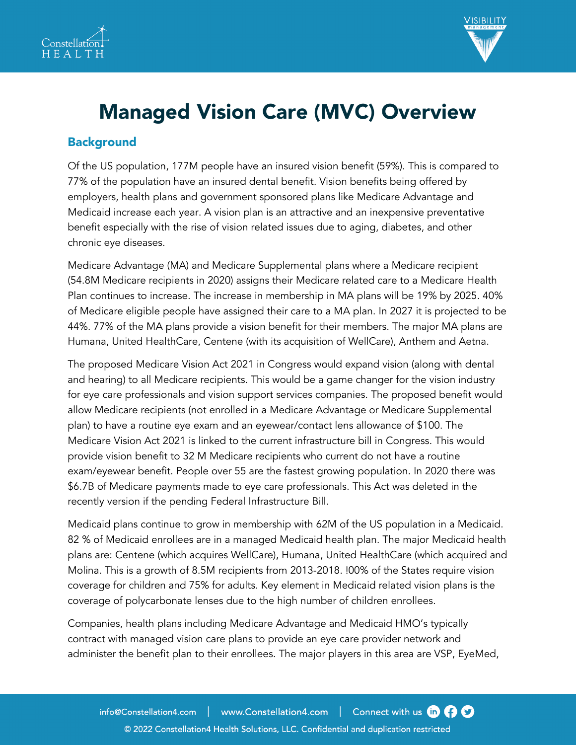



# Managed Vision Care (MVC) Overview

### **Background**

Of the US population, 177M people have an insured vision benefit (59%). This is compared to 77% of the population have an insured dental benefit. Vision benefits being offered by employers, health plans and government sponsored plans like Medicare Advantage and Medicaid increase each year. A vision plan is an attractive and an inexpensive preventative benefit especially with the rise of vision related issues due to aging, diabetes, and other chronic eye diseases.

Medicare Advantage (MA) and Medicare Supplemental plans where a Medicare recipient (54.8M Medicare recipients in 2020) assigns their Medicare related care to a Medicare Health Plan continues to increase. The increase in membership in MA plans will be 19% by 2025. 40% of Medicare eligible people have assigned their care to a MA plan. In 2027 it is projected to be 44%. 77% of the MA plans provide a vision benefit for their members. The major MA plans are Humana, United HealthCare, Centene (with its acquisition of WellCare), Anthem and Aetna.

The proposed Medicare Vision Act 2021 in Congress would expand vision (along with dental and hearing) to all Medicare recipients. This would be a game changer for the vision industry for eye care professionals and vision support services companies. The proposed benefit would allow Medicare recipients (not enrolled in a Medicare Advantage or Medicare Supplemental plan) to have a routine eye exam and an eyewear/contact lens allowance of \$100. The Medicare Vision Act 2021 is linked to the current infrastructure bill in Congress. This would provide vision benefit to 32 M Medicare recipients who current do not have a routine exam/eyewear benefit. People over 55 are the fastest growing population. In 2020 there was \$6.7B of Medicare payments made to eye care professionals. This Act was deleted in the recently version if the pending Federal Infrastructure Bill.

Medicaid plans continue to grow in membership with 62M of the US population in a Medicaid. 82 % of Medicaid enrollees are in a managed Medicaid health plan. The major Medicaid health plans are: Centene (which acquires WellCare), Humana, United HealthCare (which acquired and Molina. This is a growth of 8.5M recipients from 2013-2018. !00% of the States require vision coverage for children and 75% for adults. Key element in Medicaid related vision plans is the coverage of polycarbonate lenses due to the high number of children enrollees.

Companies, health plans including Medicare Advantage and Medicaid HMO's typically contract with managed vision care plans to provide an eye care provider network and administer the benefit plan to their enrollees. The major players in this area are VSP, EyeMed,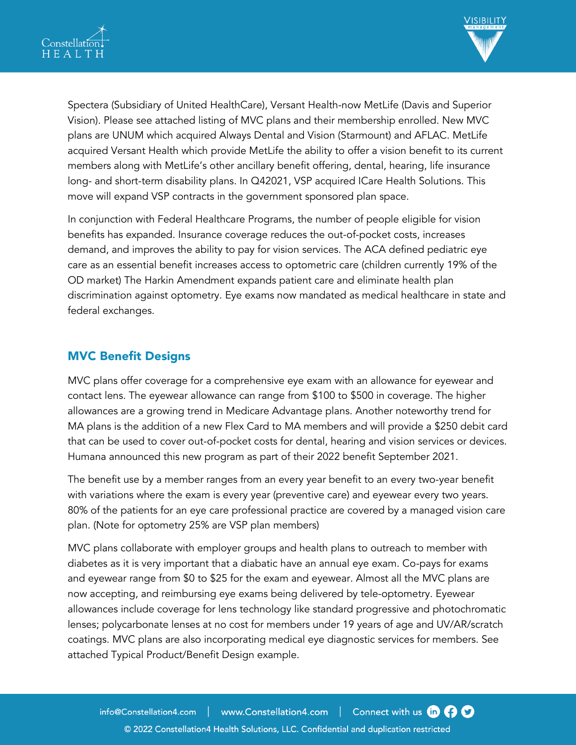



Spectera (Subsidiary of United HealthCare), Versant Health-now MetLife (Davis and Superior Vision). Please see attached listing of MVC plans and their membership enrolled. New MVC plans are UNUM which acquired Always Dental and Vision (Starmount) and AFLAC. MetLife acquired Versant Health which provide MetLife the ability to offer a vision benefit to its current members along with MetLife's other ancillary benefit offering, dental, hearing, life insurance long- and short-term disability plans. In Q42021, VSP acquired ICare Health Solutions. This move will expand VSP contracts in the government sponsored plan space.

In conjunction with Federal Healthcare Programs, the number of people eligible for vision benefits has expanded. Insurance coverage reduces the out-of-pocket costs, increases demand, and improves the ability to pay for vision services. The ACA defined pediatric eye care as an essential benefit increases access to optometric care (children currently 19% of the OD market) The Harkin Amendment expands patient care and eliminate health plan discrimination against optometry. Eye exams now mandated as medical healthcare in state and federal exchanges.

#### MVC Benefit Designs

MVC plans offer coverage for a comprehensive eye exam with an allowance for eyewear and contact lens. The eyewear allowance can range from \$100 to \$500 in coverage. The higher allowances are a growing trend in Medicare Advantage plans. Another noteworthy trend for MA plans is the addition of a new Flex Card to MA members and will provide a \$250 debit card that can be used to cover out-of-pocket costs for dental, hearing and vision services or devices. Humana announced this new program as part of their 2022 benefit September 2021.

The benefit use by a member ranges from an every year benefit to an every two-year benefit with variations where the exam is every year (preventive care) and eyewear every two years. 80% of the patients for an eye care professional practice are covered by a managed vision care plan. (Note for optometry 25% are VSP plan members)

MVC plans collaborate with employer groups and health plans to outreach to member with diabetes as it is very important that a diabatic have an annual eye exam. Co-pays for exams and eyewear range from \$0 to \$25 for the exam and eyewear. Almost all the MVC plans are now accepting, and reimbursing eye exams being delivered by tele-optometry. Eyewear allowances include coverage for lens technology like standard progressive and photochromatic lenses; polycarbonate lenses at no cost for members under 19 years of age and UV/AR/scratch coatings. MVC plans are also incorporating medical eye diagnostic services for members. See attached Typical Product/Benefit Design example.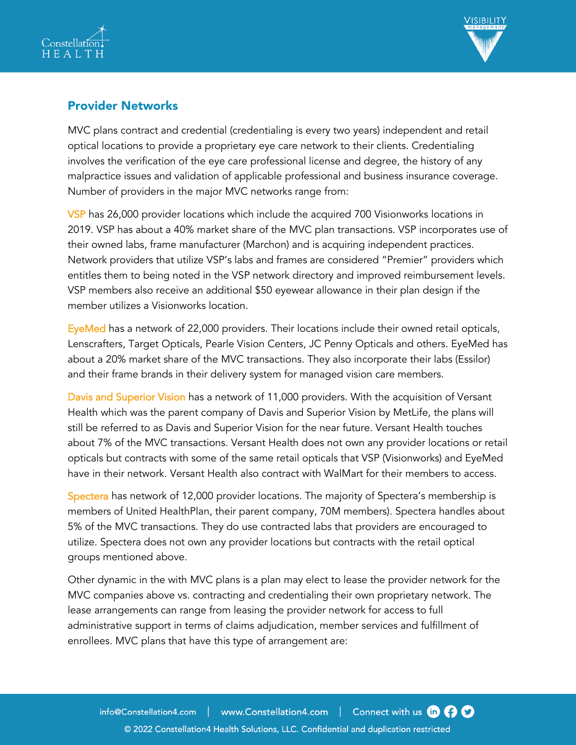



# Provider Networks

MVC plans contract and credential (credentialing is every two years) independent and retail optical locations to provide a proprietary eye care network to their clients. Credentialing involves the verification of the eye care professional license and degree, the history of any malpractice issues and validation of applicable professional and business insurance coverage. Number of providers in the major MVC networks range from:

VSP has 26,000 provider locations which include the acquired 700 Visionworks locations in 2019. VSP has about a 40% market share of the MVC plan transactions. VSP incorporates use of their owned labs, frame manufacturer (Marchon) and is acquiring independent practices. Network providers that utilize VSP's labs and frames are considered "Premier" providers which entitles them to being noted in the VSP network directory and improved reimbursement levels. VSP members also receive an additional \$50 eyewear allowance in their plan design if the member utilizes a Visionworks location.

EyeMed has a network of 22,000 providers. Their locations include their owned retail opticals, Lenscrafters, Target Opticals, Pearle Vision Centers, JC Penny Opticals and others. EyeMed has about a 20% market share of the MVC transactions. They also incorporate their labs (Essilor) and their frame brands in their delivery system for managed vision care members.

Davis and Superior Vision has a network of 11,000 providers. With the acquisition of Versant Health which was the parent company of Davis and Superior Vision by MetLife, the plans will still be referred to as Davis and Superior Vision for the near future. Versant Health touches about 7% of the MVC transactions. Versant Health does not own any provider locations or retail opticals but contracts with some of the same retail opticals that VSP (Visionworks) and EyeMed have in their network. Versant Health also contract with WalMart for their members to access.

Spectera has network of 12,000 provider locations. The majority of Spectera's membership is members of United HealthPlan, their parent company, 70M members). Spectera handles about 5% of the MVC transactions. They do use contracted labs that providers are encouraged to utilize. Spectera does not own any provider locations but contracts with the retail optical groups mentioned above.

Other dynamic in the with MVC plans is a plan may elect to lease the provider network for the MVC companies above vs. contracting and credentialing their own proprietary network. The lease arrangements can range from leasing the provider network for access to full administrative support in terms of claims adjudication, member services and fulfillment of enrollees. MVC plans that have this type of arrangement are: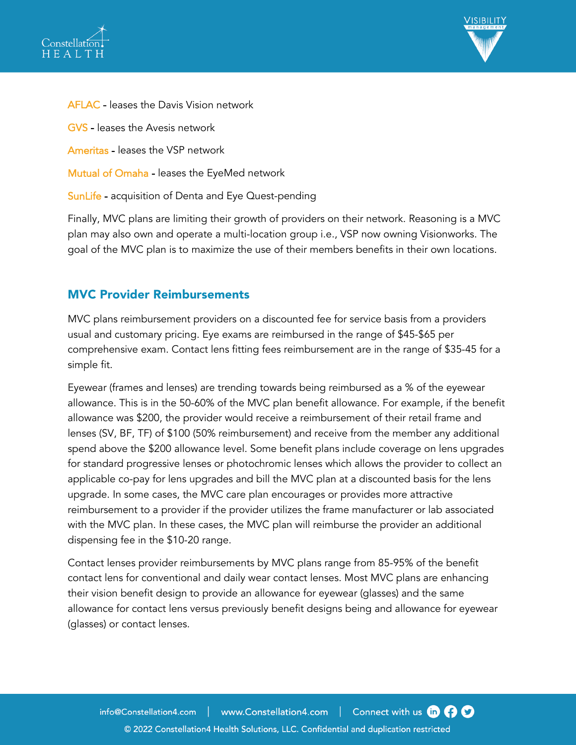



AFLAC - leases the Davis Vision network GVS - leases the Avesis network Ameritas - leases the VSP network Mutual of Omaha - leases the EyeMed network SunLife - acquisition of Denta and Eye Quest-pending

Finally, MVC plans are limiting their growth of providers on their network. Reasoning is a MVC plan may also own and operate a multi-location group i.e., VSP now owning Visionworks. The goal of the MVC plan is to maximize the use of their members benefits in their own locations.

### MVC Provider Reimbursements

MVC plans reimbursement providers on a discounted fee for service basis from a providers usual and customary pricing. Eye exams are reimbursed in the range of \$45-\$65 per comprehensive exam. Contact lens fitting fees reimbursement are in the range of \$35-45 for a simple fit.

Eyewear (frames and lenses) are trending towards being reimbursed as a % of the eyewear allowance. This is in the 50-60% of the MVC plan benefit allowance. For example, if the benefit allowance was \$200, the provider would receive a reimbursement of their retail frame and lenses (SV, BF, TF) of \$100 (50% reimbursement) and receive from the member any additional spend above the \$200 allowance level. Some benefit plans include coverage on lens upgrades for standard progressive lenses or photochromic lenses which allows the provider to collect an applicable co-pay for lens upgrades and bill the MVC plan at a discounted basis for the lens upgrade. In some cases, the MVC care plan encourages or provides more attractive reimbursement to a provider if the provider utilizes the frame manufacturer or lab associated with the MVC plan. In these cases, the MVC plan will reimburse the provider an additional dispensing fee in the \$10-20 range.

Contact lenses provider reimbursements by MVC plans range from 85-95% of the benefit contact lens for conventional and daily wear contact lenses. Most MVC plans are enhancing their vision benefit design to provide an allowance for eyewear (glasses) and the same allowance for contact lens versus previously benefit designs being and allowance for eyewear (glasses) or contact lenses.